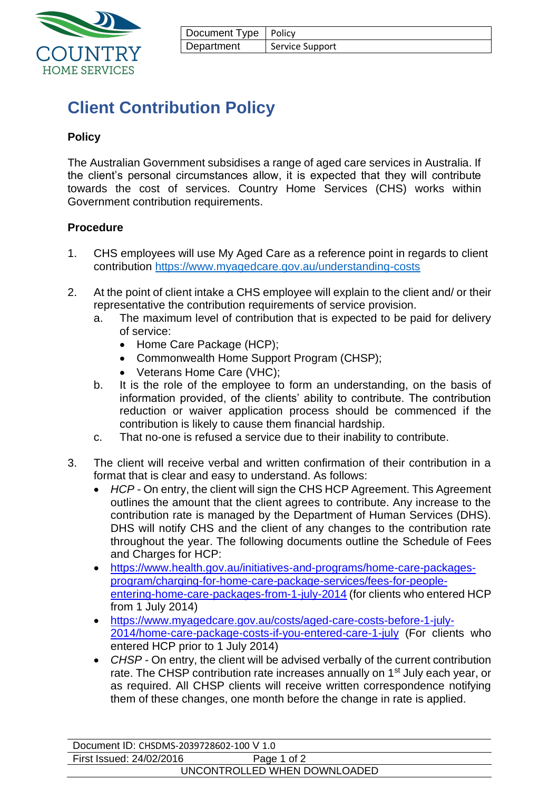

| Document Type   Policy |                 |
|------------------------|-----------------|
| Department             | Service Support |

# **Client Contribution Policy**

## **Policy**

The Australian Government subsidises a range of aged care services in Australia. If the client's personal circumstances allow, it is expected that they will contribute towards the cost of services. Country Home Services (CHS) works within Government contribution requirements.

#### **Procedure**

- 1. CHS employees will use My Aged Care as a reference point in regards to client contribution<https://www.myagedcare.gov.au/understanding-costs>
- 2. At the point of client intake a CHS employee will explain to the client and/ or their representative the contribution requirements of service provision.
	- a. The maximum level of contribution that is expected to be paid for delivery of service:
		- Home Care Package (HCP);
		- Commonwealth Home Support Program (CHSP);
		- Veterans Home Care (VHC);
	- b. It is the role of the employee to form an understanding, on the basis of information provided, of the clients' ability to contribute. The contribution reduction or waiver application process should be commenced if the contribution is likely to cause them financial hardship.
	- c. That no-one is refused a service due to their inability to contribute.
- 3. The client will receive verbal and written confirmation of their contribution in a format that is clear and easy to understand. As follows:
	- *HCP* On entry, the client will sign the CHS HCP Agreement. This Agreement outlines the amount that the client agrees to contribute. Any increase to the contribution rate is managed by the Department of Human Services (DHS). DHS will notify CHS and the client of any changes to the contribution rate throughout the year. The following documents outline the Schedule of Fees and Charges for HCP:
	- [https://www.health.gov.au/initiatives-and-programs/home-care-packages](https://www.health.gov.au/initiatives-and-programs/home-care-packages-program/charging-for-home-care-package-services/fees-for-people-entering-home-care-packages-from-1-july-2014)[program/charging-for-home-care-package-services/fees-for-people](https://www.health.gov.au/initiatives-and-programs/home-care-packages-program/charging-for-home-care-package-services/fees-for-people-entering-home-care-packages-from-1-july-2014)[entering-home-care-packages-from-1-july-2014](https://www.health.gov.au/initiatives-and-programs/home-care-packages-program/charging-for-home-care-package-services/fees-for-people-entering-home-care-packages-from-1-july-2014) (for clients who entered HCP from 1 July 2014)
	- [https://www.myagedcare.gov.au/costs/aged-care-costs-before-1-july-](https://www.myagedcare.gov.au/costs/aged-care-costs-before-1-july-2014/home-care-package-costs-if-you-entered-care-1-july)[2014/home-care-package-costs-if-you-entered-care-1-july](https://www.myagedcare.gov.au/costs/aged-care-costs-before-1-july-2014/home-care-package-costs-if-you-entered-care-1-july) (For clients who entered HCP prior to 1 July 2014)
	- *CHSP -* On entry, the client will be advised verbally of the current contribution rate. The CHSP contribution rate increases annually on 1<sup>st</sup> July each year, or as required. All CHSP clients will receive written correspondence notifying them of these changes, one month before the change in rate is applied.

| Document ID: CHSDMS-2039728602-100 V 1.0 |             |  |  |  |  |
|------------------------------------------|-------------|--|--|--|--|
| First Issued: 24/02/2016                 | Page 1 of 2 |  |  |  |  |
| UNCONTROLLED WHEN DOWNLOADED             |             |  |  |  |  |